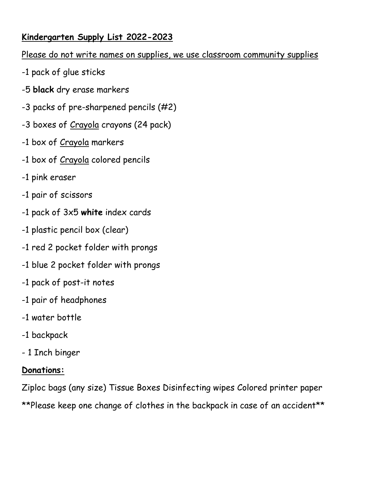## **Kindergarten Supply List 2022-2023**

#### Please do not write names on supplies, we use classroom community supplies

- -1 pack of glue sticks
- -5 **black** dry erase markers
- -3 packs of pre-sharpened pencils (#2)
- -3 boxes of Crayola crayons (24 pack)
- -1 box of Crayola markers
- -1 box of Crayola colored pencils
- -1 pink eraser
- -1 pair of scissors
- -1 pack of 3x5 **white** index cards
- -1 plastic pencil box (clear)
- -1 red 2 pocket folder with prongs
- -1 blue 2 pocket folder with prongs
- -1 pack of post-it notes
- -1 pair of headphones
- -1 water bottle
- -1 backpack
- 1 Inch binger

# **Donations:**

Ziploc bags (any size) Tissue Boxes Disinfecting wipes Colored printer paper \*\*Please keep one change of clothes in the backpack in case of an accident\*\*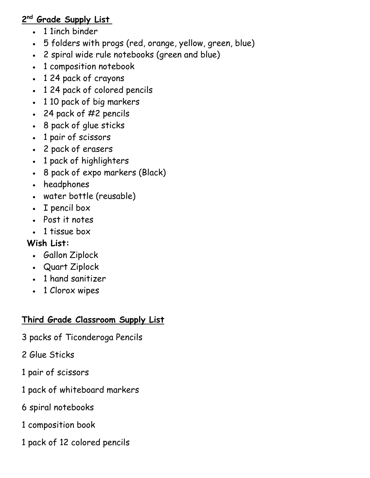## **2 nd Grade Supply List**

- 1 1inch binder
- 5 folders with progs (red, orange, yellow, green, blue)
- 2 spiral wide rule notebooks (green and blue)
- 1 composition notebook
- 1 24 pack of crayons
- 1 24 pack of colored pencils
- 1 10 pack of big markers
- 24 pack of #2 pencils
- 8 pack of glue sticks
- 1 pair of scissors
- 2 pack of erasers
- 1 pack of highlighters
- 8 pack of expo markers (Black)
- headphones
- water bottle (reusable)
- I pencil box
- Post it notes
- 1 tissue box

# **Wish List:**

- Gallon Ziplock
- Quart Ziplock
- 1 hand sanitizer
- 1 Clorox wipes

# **Third Grade Classroom Supply List**

- 3 packs of Ticonderoga Pencils
- 2 Glue Sticks
- 1 pair of scissors
- 1 pack of whiteboard markers
- 6 spiral notebooks
- 1 composition book
- 1 pack of 12 colored pencils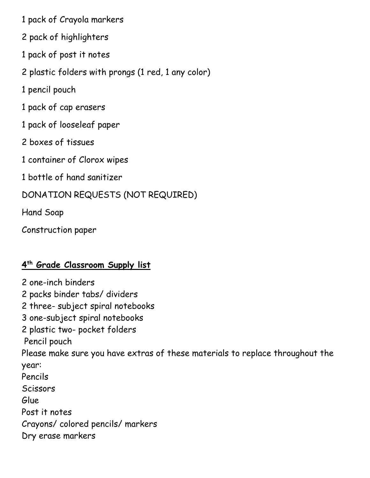1 pack of Crayola markers

2 pack of highlighters

1 pack of post it notes

2 plastic folders with prongs (1 red, 1 any color)

1 pencil pouch

1 pack of cap erasers

1 pack of looseleaf paper

2 boxes of tissues

1 container of Clorox wipes

1 bottle of hand sanitizer

DONATION REQUESTS (NOT REQUIRED)

Hand Soap

Construction paper

### **4 th Grade Classroom Supply list**

2 one-inch binders 2 packs binder tabs/ dividers 2 three- subject spiral notebooks 3 one-subject spiral notebooks 2 plastic two- pocket folders Pencil pouch Please make sure you have extras of these materials to replace throughout the year: Pencils **Scissors** Glue Post it notes Crayons/ colored pencils/ markers Dry erase markers